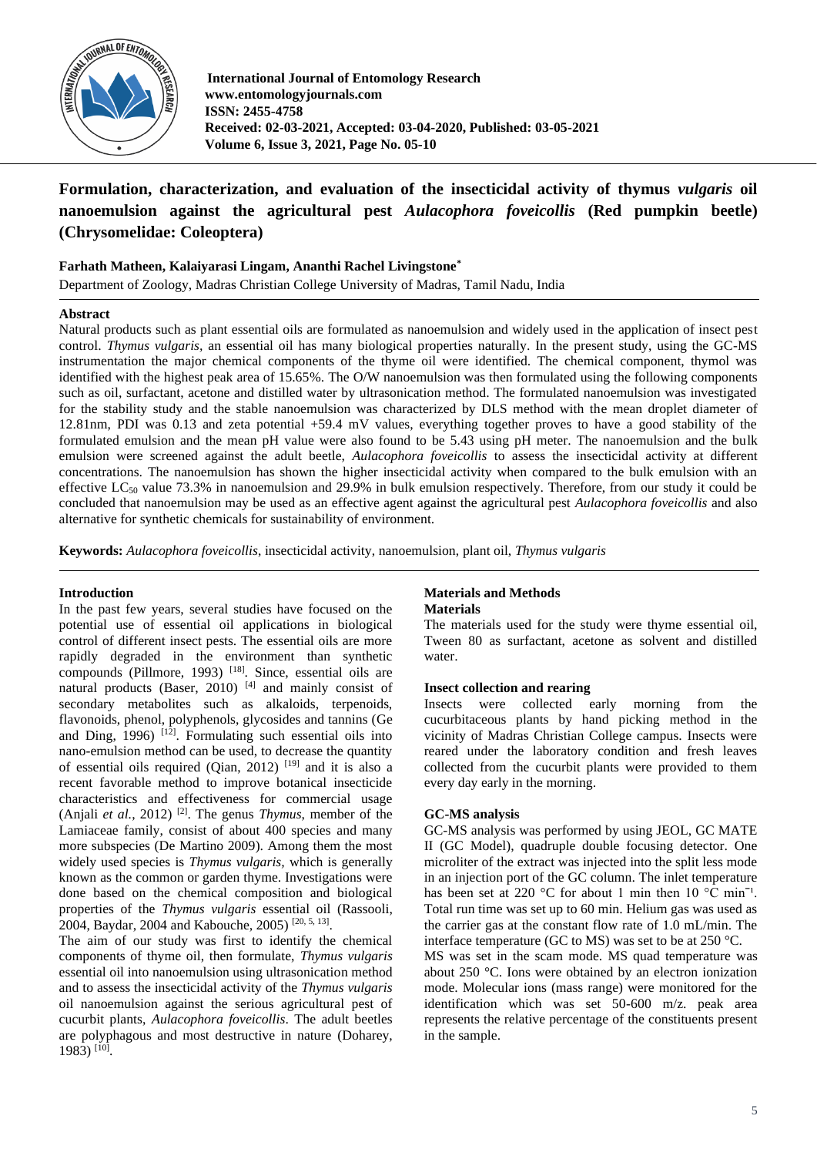

**International Journal of Entomology Research www.entomologyjournals.com ISSN: 2455-4758 Received: 02-03-2021, Accepted: 03-04-2020, Published: 03-05-2021 Volume 6, Issue 3, 2021, Page No. 05-10**

# **Formulation, characterization, and evaluation of the insecticidal activity of thymus** *vulgaris* **oil nanoemulsion against the agricultural pest** *Aulacophora foveicollis* **(Red pumpkin beetle) (Chrysomelidae: Coleoptera)**

# **Farhath Matheen, Kalaiyarasi Lingam, Ananthi Rachel Livingstone\***

Department of Zoology, Madras Christian College University of Madras, Tamil Nadu, India

## **Abstract**

Natural products such as plant essential oils are formulated as nanoemulsion and widely used in the application of insect pest control. *Thymus vulgaris,* an essential oil has many biological properties naturally. In the present study, using the GC-MS instrumentation the major chemical components of the thyme oil were identified. The chemical component, thymol was identified with the highest peak area of 15.65%. The O/W nanoemulsion was then formulated using the following components such as oil, surfactant, acetone and distilled water by ultrasonication method. The formulated nanoemulsion was investigated for the stability study and the stable nanoemulsion was characterized by DLS method with the mean droplet diameter of 12.81nm, PDI was 0.13 and zeta potential +59.4 mV values, everything together proves to have a good stability of the formulated emulsion and the mean pH value were also found to be 5.43 using pH meter. The nanoemulsion and the bulk emulsion were screened against the adult beetle, *Aulacophora foveicollis* to assess the insecticidal activity at different concentrations. The nanoemulsion has shown the higher insecticidal activity when compared to the bulk emulsion with an effective  $LC_{50}$  value 73.3% in nanoemulsion and 29.9% in bulk emulsion respectively. Therefore, from our study it could be concluded that nanoemulsion may be used as an effective agent against the agricultural pest *Aulacophora foveicollis* and also alternative for synthetic chemicals for sustainability of environment.

**Keywords:** *Aulacophora foveicollis*, insecticidal activity, nanoemulsion, plant oil, *Thymus vulgaris*

## **Introduction**

In the past few years, several studies have focused on the potential use of essential oil applications in biological control of different insect pests. The essential oils are more rapidly degraded in the environment than synthetic compounds (Pillmore, 1993)<sup>[18]</sup>. Since, essential oils are natural products (Baser, 2010)<sup>[4]</sup> and mainly consist of secondary metabolites such as alkaloids, terpenoids, flavonoids, phenol, polyphenols, glycosides and tannins (Ge and Ding,  $1996$ )<sup>[12]</sup>. Formulating such essential oils into nano-emulsion method can be used, to decrease the quantity of essential oils required (Qian, 2012) [19] and it is also a recent favorable method to improve botanical insecticide characteristics and effectiveness for commercial usage (Anjali *et al.*, 2012) [2] . The genus *Thymus*, member of the Lamiaceae family, consist of about 400 species and many more subspecies (De Martino 2009). Among them the most widely used species is *Thymus vulgaris,* which is generally known as the common or garden thyme. Investigations were done based on the chemical composition and biological properties of the *Thymus vulgaris* essential oil (Rassooli, 2004, Baydar, 2004 and Kabouche, 2005) [20, 5, 13] .

The aim of our study was first to identify the chemical components of thyme oil, then formulate, *Thymus vulgaris* essential oil into nanoemulsion using ultrasonication method and to assess the insecticidal activity of the *Thymus vulgaris*  oil nanoemulsion against the serious agricultural pest of cucurbit plants, *Aulacophora foveicollis*. The adult beetles are polyphagous and most destructive in nature (Doharey, 1983) [10] .

## **Materials and Methods Materials**

The materials used for the study were thyme essential oil, Tween 80 as surfactant, acetone as solvent and distilled water.

#### **Insect collection and rearing**

Insects were collected early morning from the cucurbitaceous plants by hand picking method in the vicinity of Madras Christian College campus. Insects were reared under the laboratory condition and fresh leaves collected from the cucurbit plants were provided to them every day early in the morning.

## **GC-MS analysis**

GC-MS analysis was performed by using JEOL, GC MATE II (GC Model), quadruple double focusing detector. One microliter of the extract was injected into the split less mode in an injection port of the GC column. The inlet temperature has been set at 220 °C for about 1 min then 10 °C min<sup>-1</sup>. Total run time was set up to 60 min. Helium gas was used as the carrier gas at the constant flow rate of 1.0 mL/min. The interface temperature (GC to MS) was set to be at  $250^{\circ}$ C.

MS was set in the scam mode. MS quad temperature was about 250 °C. Ions were obtained by an electron ionization mode. Molecular ions (mass range) were monitored for the identification which was set 50-600 m/z. peak area represents the relative percentage of the constituents present in the sample.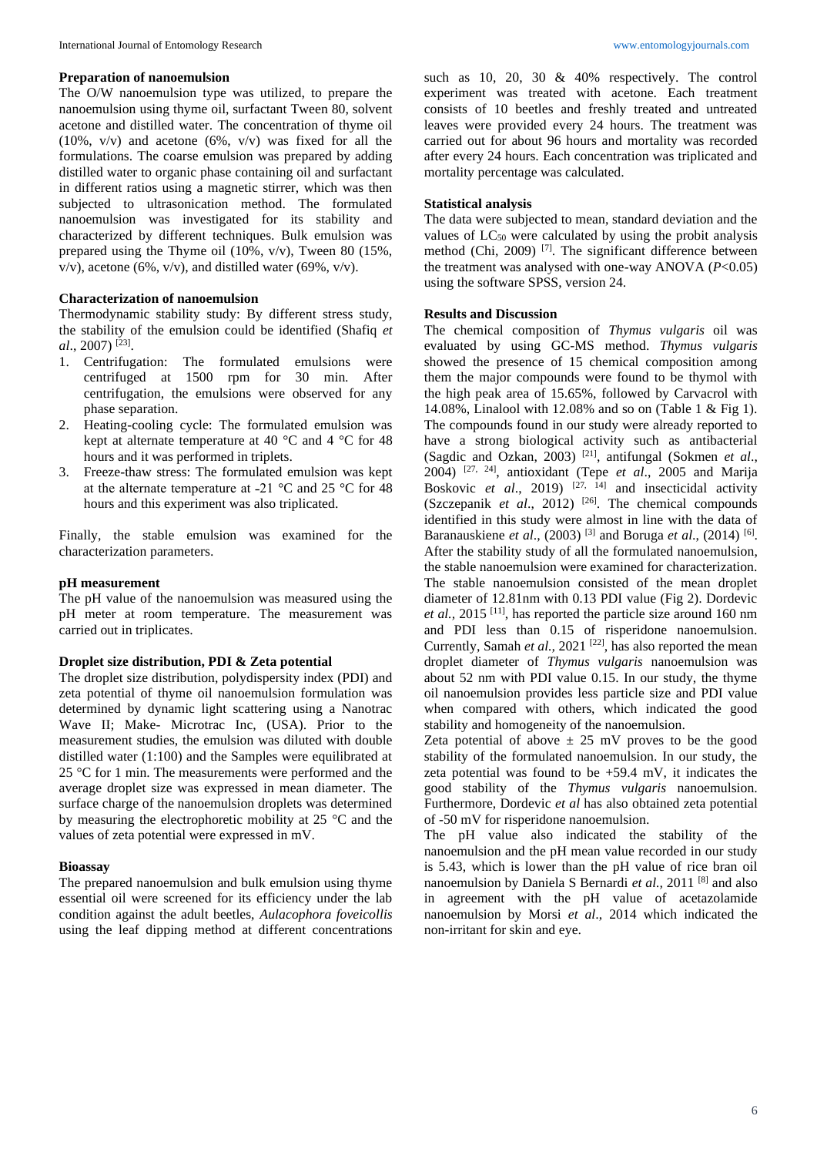#### **Preparation of nanoemulsion**

The O/W nanoemulsion type was utilized, to prepare the nanoemulsion using thyme oil, surfactant Tween 80, solvent acetone and distilled water. The concentration of thyme oil (10%, v/v) and acetone (6%, v/v) was fixed for all the formulations. The coarse emulsion was prepared by adding distilled water to organic phase containing oil and surfactant in different ratios using a magnetic stirrer, which was then subjected to ultrasonication method. The formulated nanoemulsion was investigated for its stability and characterized by different techniques. Bulk emulsion was prepared using the Thyme oil (10%, v/v), Tween 80 (15%, v/v), acetone (6%, v/v), and distilled water (69%, v/v).

## **Characterization of nanoemulsion**

Thermodynamic stability study: By different stress study, the stability of the emulsion could be identified (Shafiq *et al*., 2007) [23] .

- 1. Centrifugation: The formulated emulsions were centrifuged at 1500 rpm for 30 min. After centrifugation, the emulsions were observed for any phase separation.
- 2. Heating-cooling cycle: The formulated emulsion was kept at alternate temperature at 40  $^{\circ}$ C and 4  $^{\circ}$ C for 48 hours and it was performed in triplets.
- 3. Freeze-thaw stress: The formulated emulsion was kept at the alternate temperature at -21  $^{\circ}$ C and 25  $^{\circ}$ C for 48 hours and this experiment was also triplicated.

Finally, the stable emulsion was examined for the characterization parameters.

#### **pH measurement**

The pH value of the nanoemulsion was measured using the pH meter at room temperature. The measurement was carried out in triplicates.

#### **Droplet size distribution, PDI & Zeta potential**

The droplet size distribution, polydispersity index (PDI) and zeta potential of thyme oil nanoemulsion formulation was determined by dynamic light scattering using a Nanotrac Wave II; Make- Microtrac Inc, (USA). Prior to the measurement studies, the emulsion was diluted with double distilled water (1:100) and the Samples were equilibrated at 25 °C for 1 min. The measurements were performed and the average droplet size was expressed in mean diameter. The surface charge of the nanoemulsion droplets was determined by measuring the electrophoretic mobility at 25 °C and the values of zeta potential were expressed in mV.

#### **Bioassay**

The prepared nanoemulsion and bulk emulsion using thyme essential oil were screened for its efficiency under the lab condition against the adult beetles, *Aulacophora foveicollis* using the leaf dipping method at different concentrations such as 10, 20, 30 & 40% respectively. The control experiment was treated with acetone. Each treatment consists of 10 beetles and freshly treated and untreated leaves were provided every 24 hours. The treatment was carried out for about 96 hours and mortality was recorded after every 24 hours. Each concentration was triplicated and mortality percentage was calculated.

#### **Statistical analysis**

The data were subjected to mean, standard deviation and the values of  $LC_{50}$  were calculated by using the probit analysis method (Chi, 2009)<sup>[7]</sup>. The significant difference between the treatment was analysed with one-way ANOVA (*P*<0.05) using the software SPSS, version 24.

#### **Results and Discussion**

The chemical composition of *Thymus vulgaris* oil was evaluated by using GC-MS method. *Thymus vulgaris* showed the presence of 15 chemical composition among them the major compounds were found to be thymol with the high peak area of 15.65%, followed by Carvacrol with 14.08%, Linalool with 12.08% and so on (Table 1 & Fig 1). The compounds found in our study were already reported to have a strong biological activity such as antibacterial (Sagdic and Ozkan, 2003) [21], antifungal (Sokmen *et al*., 2004) [27, 24], antioxidant (Tepe *et al*., 2005 and Marija Boskovic *et al*., 2019) [27, 14] and insecticidal activity (Szczepanik *et al*., 2012) [26]. The chemical compounds identified in this study were almost in line with the data of Baranauskiene *et al.*, (2003)<sup>[3]</sup> and Boruga *et al.*, (2014)<sup>[6]</sup>. After the stability study of all the formulated nanoemulsion, the stable nanoemulsion were examined for characterization. The stable nanoemulsion consisted of the mean droplet diameter of 12.81nm with 0.13 PDI value (Fig 2). Dordevic *et al.,* 2015 [11], has reported the particle size around 160 nm and PDI less than 0.15 of risperidone nanoemulsion. Currently, Samah et al., 2021<sup>[22]</sup>, has also reported the mean droplet diameter of *Thymus vulgaris* nanoemulsion was about 52 nm with PDI value 0.15. In our study, the thyme oil nanoemulsion provides less particle size and PDI value when compared with others, which indicated the good stability and homogeneity of the nanoemulsion.

Zeta potential of above  $\pm$  25 mV proves to be the good stability of the formulated nanoemulsion. In our study, the zeta potential was found to be  $+59.4$  mV, it indicates the good stability of the *Thymus vulgaris* nanoemulsion. Furthermore, Dordevic *et al* has also obtained zeta potential of -50 mV for risperidone nanoemulsion.

The pH value also indicated the stability of the nanoemulsion and the pH mean value recorded in our study is 5.43, which is lower than the pH value of rice bran oil nanoemulsion by Daniela S Bernardi *et al.,* 2011 [8] and also in agreement with the pH value of acetazolamide nanoemulsion by Morsi *et al*., 2014 which indicated the non-irritant for skin and eye.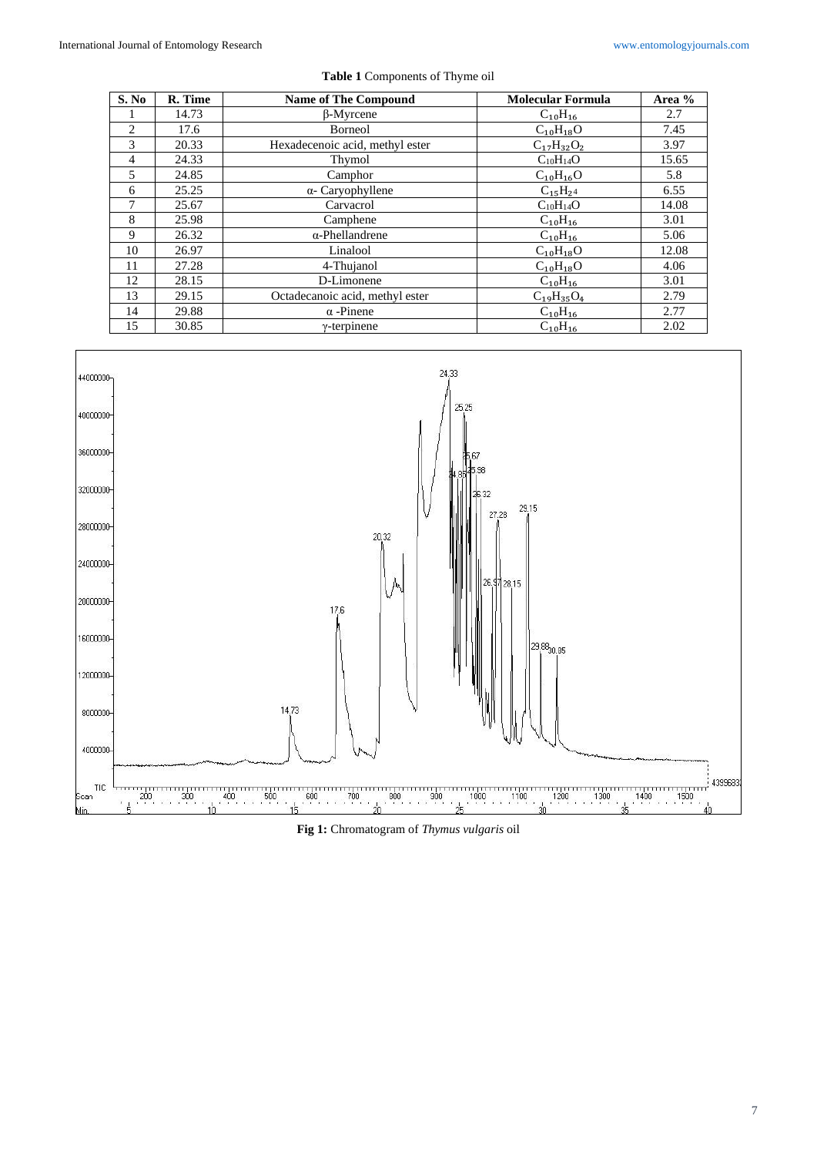| S. No                    | R. Time | <b>Name of The Compound</b>     | <b>Molecular Formula</b> | Area % |
|--------------------------|---------|---------------------------------|--------------------------|--------|
|                          | 14.73   | $\beta$ -Myrcene                | $C_{10}H_{16}$           | 2.7    |
| $\mathfrak{D}$           | 17.6    | Borneol                         | $C_{10}H_{18}O$          | 7.45   |
| 3                        | 20.33   | Hexadecenoic acid, methyl ester | $C_{17}H_{32}O_2$        | 3.97   |
| $\overline{4}$           | 24.33   | Thymol                          | $C_{10}H_{14}O$          | 15.65  |
| $\overline{\phantom{0}}$ | 24.85   | Camphor                         | $C_{10}H_{16}O$          | 5.8    |
| 6                        | 25.25   | $\alpha$ - Caryophyllene        | $C_{15}H_{24}$           | 6.55   |
| 7                        | 25.67   | Carvacrol                       | $C_{10}H_{14}O$          | 14.08  |
| 8                        | 25.98   | Camphene                        | $C_{10}H_{16}$           | 3.01   |
| 9                        | 26.32   | $\alpha$ -Phellandrene          | $C_{10}H_{16}$           | 5.06   |
| 10                       | 26.97   | Linalool                        | $C_{10}H_{18}O$          | 12.08  |
| 11                       | 27.28   | 4-Thujanol                      | $C_{10}H_{18}O$          | 4.06   |
| 12                       | 28.15   | D-Limonene                      | $C_{10}H_{16}$           | 3.01   |
| 13                       | 29.15   | Octadecanoic acid, methyl ester | $C_{19}H_{35}O_4$        | 2.79   |
| 14                       | 29.88   | $\alpha$ -Pinene                | $C_{10}H_{16}$           | 2.77   |
| 15                       | 30.85   | $\gamma$ -terpinene             | $C_{10}H_{16}$           | 2.02   |





**Fig 1:** Chromatogram of *Thymus vulgaris* oil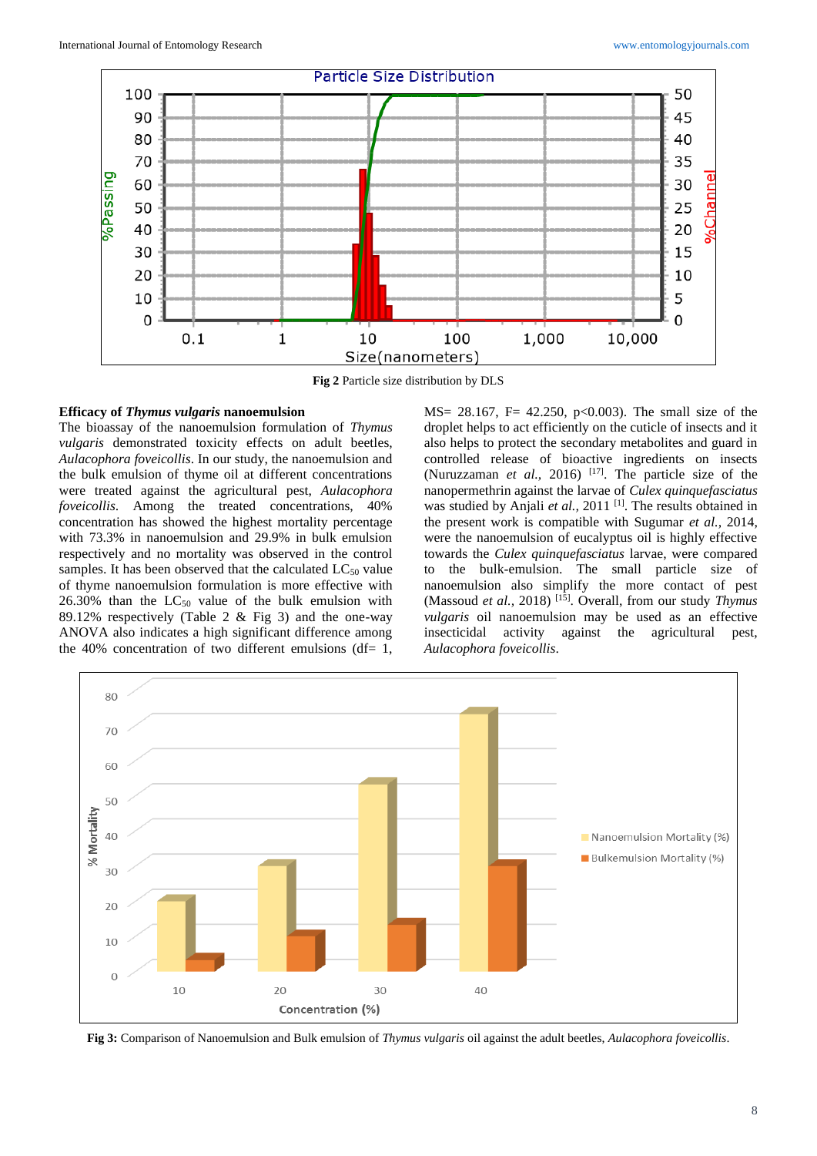

**Fig 2** Particle size distribution by DLS

# **Efficacy of** *Thymus vulgaris* **nanoemulsion**

The bioassay of the nanoemulsion formulation of *Thymus vulgaris* demonstrated toxicity effects on adult beetles, *Aulacophora foveicollis*. In our study, the nanoemulsion and the bulk emulsion of thyme oil at different concentrations were treated against the agricultural pest, *Aulacophora foveicollis*. Among the treated concentrations, 40% concentration has showed the highest mortality percentage with 73.3% in nanoemulsion and 29.9% in bulk emulsion respectively and no mortality was observed in the control samples. It has been observed that the calculated  $LC_{50}$  value of thyme nanoemulsion formulation is more effective with  $26.30\%$  than the  $LC_{50}$  value of the bulk emulsion with 89.12% respectively (Table 2 & Fig 3) and the one-way ANOVA also indicates a high significant difference among the 40% concentration of two different emulsions (df=  $1$ ,

MS= 28.167, F= 42.250, p<0.003). The small size of the droplet helps to act efficiently on the cuticle of insects and it also helps to protect the secondary metabolites and guard in controlled release of bioactive ingredients on insects (Nuruzzaman *et al.*, 2016) <sup>[17]</sup>. The particle size of the nanopermethrin against the larvae of *Culex quinquefasciatus*  was studied by Anjali et al., 2011<sup>[1]</sup>. The results obtained in the present work is compatible with Sugumar *et al.,* 2014, were the nanoemulsion of eucalyptus oil is highly effective towards the *Culex quinquefasciatus* larvae, were compared to the bulk-emulsion. The small particle size of nanoemulsion also simplify the more contact of pest (Massoud *et al.,* 2018) [15]. Overall, from our study *Thymus vulgaris* oil nanoemulsion may be used as an effective insecticidal activity against the agricultural pest, *Aulacophora foveicollis*.



**Fig 3:** Comparison of Nanoemulsion and Bulk emulsion of *Thymus vulgaris* oil against the adult beetles, *Aulacophora foveicollis*.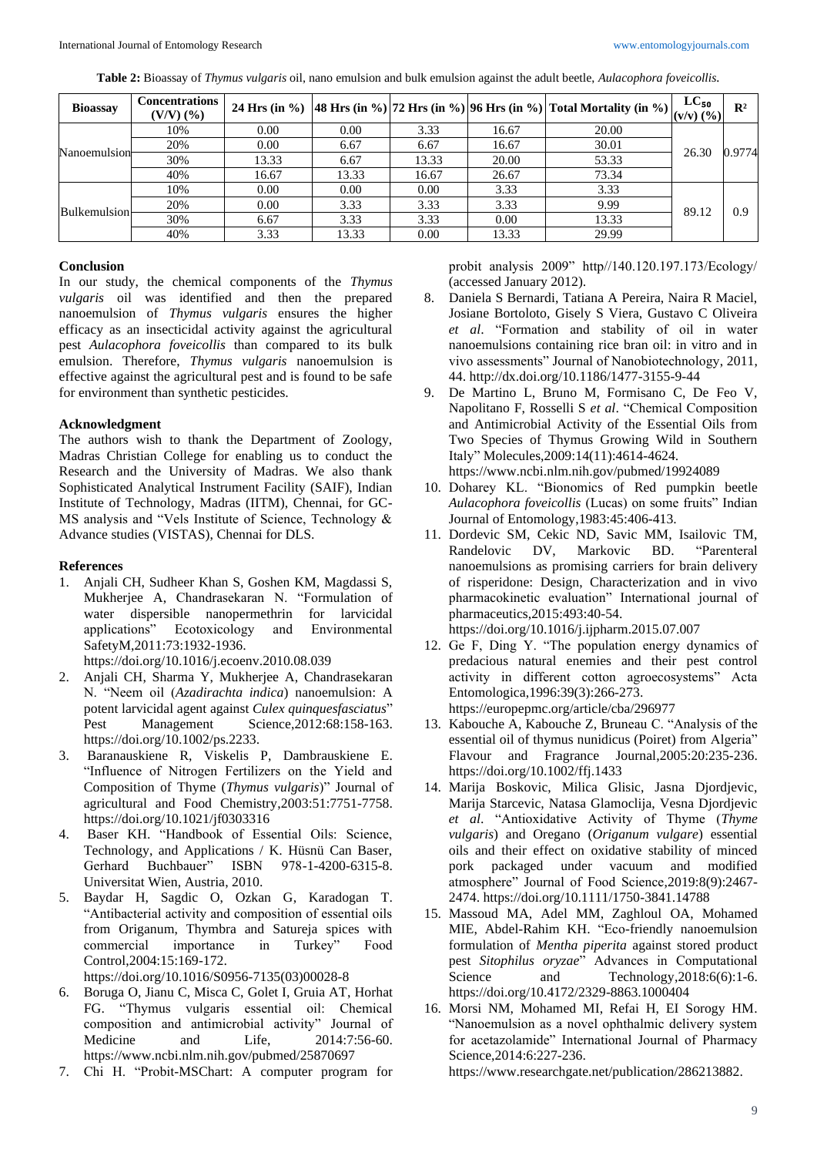| Table 2: Bioassay of Thymus vulgaris oil, nano emulsion and bulk emulsion against the adult beetle, Aulacophora foveicollis. |  |
|------------------------------------------------------------------------------------------------------------------------------|--|
|------------------------------------------------------------------------------------------------------------------------------|--|

| <b>Bioassay</b> | <b>Concentrations</b><br>$(V/V)$ $(\% )$ |       |       |       |       | 24 Hrs (in %) 48 Hrs (in %) 72 Hrs (in %) 96 Hrs (in %) Total Mortality (in %) $\begin{vmatrix} \text{L} & \text{L} & \text{L} & \text{L} \\ (\text{V} & \text{V}) & (\text{V} & \text{V}) \end{vmatrix}$ |       | $\mathbf{R}^2$ |
|-----------------|------------------------------------------|-------|-------|-------|-------|-----------------------------------------------------------------------------------------------------------------------------------------------------------------------------------------------------------|-------|----------------|
| Nanoemulsion    | 10%                                      | 0.00  | 0.00  | 3.33  | 16.67 | 20.00                                                                                                                                                                                                     | 26.30 | 0.9774         |
|                 | 20%                                      | 0.00  | 6.67  | 6.67  | 16.67 | 30.01                                                                                                                                                                                                     |       |                |
|                 | 30%                                      | 13.33 | 6.67  | 13.33 | 20.00 | 53.33                                                                                                                                                                                                     |       |                |
|                 | 40%                                      | 16.67 | 13.33 | 16.67 | 26.67 | 73.34                                                                                                                                                                                                     |       |                |
|                 | 10%                                      | 0.00  | 0.00  | 0.00  | 3.33  | 3.33                                                                                                                                                                                                      | 89.12 | 0.9            |
| Bulkemulsion    | 20%                                      | 0.00  | 3.33  | 3.33  | 3.33  | 9.99                                                                                                                                                                                                      |       |                |
|                 | 30%                                      | 6.67  | 3.33  | 3.33  | 0.00  | 13.33                                                                                                                                                                                                     |       |                |
|                 | 40%                                      | 3.33  | 13.33 | 0.00  | 13.33 | 29.99                                                                                                                                                                                                     |       |                |

# **Conclusion**

In our study, the chemical components of the *Thymus vulgaris* oil was identified and then the prepared nanoemulsion of *Thymus vulgaris* ensures the higher efficacy as an insecticidal activity against the agricultural pest *Aulacophora foveicollis* than compared to its bulk emulsion. Therefore, *Thymus vulgaris* nanoemulsion is effective against the agricultural pest and is found to be safe for environment than synthetic pesticides.

# **Acknowledgment**

The authors wish to thank the Department of Zoology, Madras Christian College for enabling us to conduct the Research and the University of Madras. We also thank Sophisticated Analytical Instrument Facility (SAIF), Indian Institute of Technology, Madras (IITM), Chennai, for GC-MS analysis and "Vels Institute of Science, Technology & Advance studies (VISTAS), Chennai for DLS.

# **References**

1. Anjali CH, Sudheer Khan S, Goshen KM, Magdassi S, Mukherjee A, Chandrasekaran N. "Formulation of water dispersible nanopermethrin for larvicidal applications" Ecotoxicology and Environmental SafetyM,2011:73:1932-1936.

https://doi.org/10.1016/j.ecoenv.2010.08.039

- 2. Anjali CH, Sharma Y, Mukherjee A, Chandrasekaran N. "Neem oil (*Azadirachta indica*) nanoemulsion: A potent larvicidal agent against *Culex quinquesfasciatus*" Pest Management Science, 2012:68:158-163. https://doi.org/10.1002/ps.2233.
- 3. Baranauskiene R, Viskelis P, Dambrauskiene E. "Influence of Nitrogen Fertilizers on the Yield and Composition of Thyme (*Thymus vulgaris*)" Journal of agricultural and Food Chemistry,2003:51:7751-7758. https://doi.org/10.1021/jf0303316
- 4. Baser KH. "Handbook of Essential Oils: Science, Technology, and Applications / K. Hüsnü Can Baser, Gerhard Buchbauer" ISBN 978-1-4200-6315-8. Universitat Wien, Austria, 2010.
- 5. Baydar H, Sagdic O, Ozkan G, Karadogan T. "Antibacterial activity and composition of essential oils from Origanum, Thymbra and Satureja spices with commercial importance in Turkey" Food Control,2004:15:169-172. https://doi.org/10.1016/S0956-7135(03)00028-8
- 6. Boruga O, Jianu C, Misca C, Golet I, Gruia AT, Horhat FG. "Thymus vulgaris essential oil: Chemical composition and antimicrobial activity" Journal of Medicine and Life, 2014:7:56-60. https://www.ncbi.nlm.nih.gov/pubmed/25870697
- 7. Chi H. "Probit-MSChart: A computer program for

probit analysis 2009" http//140.120.197.173/Ecology/ (accessed January 2012).

- 8. Daniela S Bernardi, Tatiana A Pereira, Naira R Maciel, Josiane Bortoloto, Gisely S Viera, Gustavo C Oliveira *et al*. "Formation and stability of oil in water nanoemulsions containing rice bran oil: in vitro and in vivo assessments" Journal of Nanobiotechnology, 2011, 44. http://dx.doi.org/10.1186/1477-3155-9-44
- 9. De Martino L, Bruno M, Formisano C, De Feo V, Napolitano F, Rosselli S *et al*. "Chemical Composition and Antimicrobial Activity of the Essential Oils from Two Species of Thymus Growing Wild in Southern Italy" Molecules,2009:14(11):4614-4624. https://www.ncbi.nlm.nih.gov/pubmed/19924089
- 10. Doharey KL. "Bionomics of Red pumpkin beetle *Aulacophora foveicollis* (Lucas) on some fruits" Indian Journal of Entomology,1983:45:406-413.
- 11. Dordevic SM, Cekic ND, Savic MM, Isailovic TM, Randelovic DV, Markovic BD. "Parenteral nanoemulsions as promising carriers for brain delivery of risperidone: Design, Characterization and in vivo pharmacokinetic evaluation" International journal of pharmaceutics,2015:493:40-54. https://doi.org/10.1016/j.ijpharm.2015.07.007
- 12. Ge F, Ding Y. "The population energy dynamics of predacious natural enemies and their pest control activity in different cotton agroecosystems" Acta Entomologica,1996:39(3):266-273. https://europepmc.org/article/cba/296977
- 13. Kabouche A, Kabouche Z, Bruneau C. "Analysis of the essential oil of thymus nunidicus (Poiret) from Algeria" Flavour and Fragrance Journal,2005:20:235-236. https://doi.org/10.1002/ffj.1433
- 14. Marija Boskovic, Milica Glisic, Jasna Djordjevic, Marija Starcevic, Natasa Glamoclija, Vesna Djordjevic *et al*. "Antioxidative Activity of Thyme (*Thyme vulgaris*) and Oregano (*Origanum vulgare*) essential oils and their effect on oxidative stability of minced pork packaged under vacuum and modified atmosphere" Journal of Food Science,2019:8(9):2467- 2474. https://doi.org/10.1111/1750-3841.14788
- 15. Massoud MA, Adel MM, Zaghloul OA, Mohamed MIE, Abdel-Rahim KH. "Eco-friendly nanoemulsion formulation of *Mentha piperita* against stored product pest *Sitophilus oryzae*" Advances in Computational Science and Technology, 2018:6(6):1-6. https://doi.org/10.4172/2329-8863.1000404
- 16. Morsi NM, Mohamed MI, Refai H, EI Sorogy HM. "Nanoemulsion as a novel ophthalmic delivery system for acetazolamide" International Journal of Pharmacy Science,2014:6:227-236.

https://www.researchgate.net/publication/286213882.